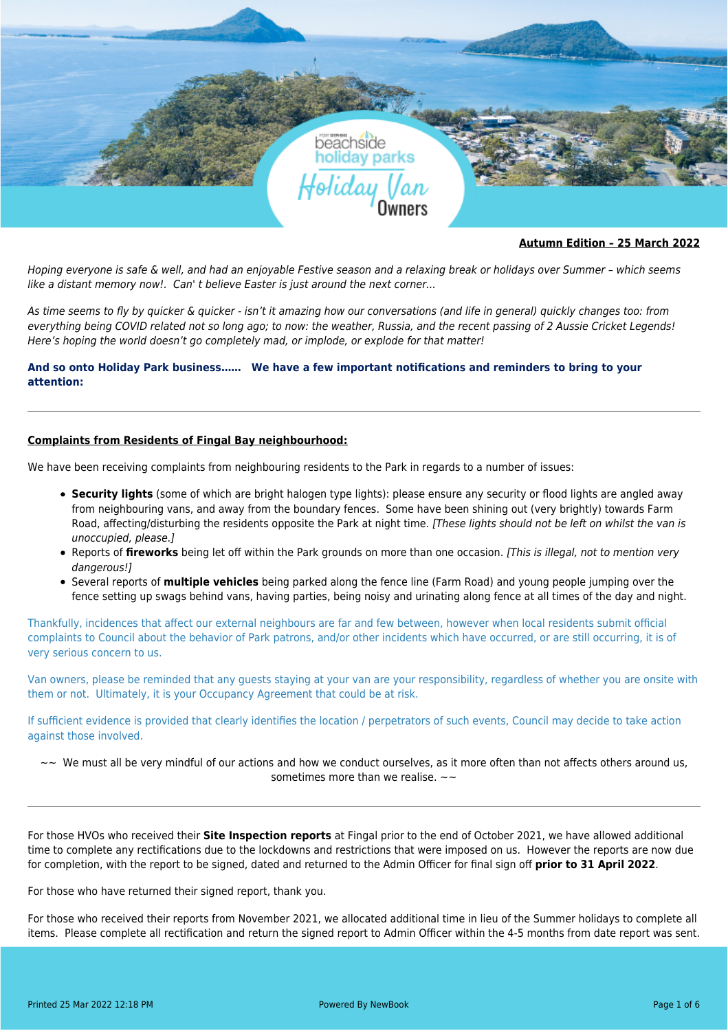

### **Autumn Edition – 25 March 2022**

Hoping everyone is safe & well, and had an enjoyable Festive season and a relaxing break or holidays over Summer – which seems like a distant memory now!. Can' t believe Easter is just around the next corner...

As time seems to fly by quicker & quicker - isn't it amazing how our conversations (and life in general) quickly changes too: from everything being COVID related not so long ago; to now: the weather, Russia, and the recent passing of 2 Aussie Cricket Legends! Here's hoping the world doesn't go completely mad, or implode, or explode for that matter!

## **And so onto Holiday Park business…… We have a few important notifications and reminders to bring to your attention:**

## **Complaints from Residents of Fingal Bay neighbourhood:**

We have been receiving complaints from neighbouring residents to the Park in regards to a number of issues:

- **Security lights** (some of which are bright halogen type lights): please ensure any security or flood lights are angled away from neighbouring vans, and away from the boundary fences. Some have been shining out (very brightly) towards Farm Road, affecting/disturbing the residents opposite the Park at night time. [These lights should not be left on whilst the van is unoccupied, please.]
- Reports of *fireworks* being let off within the Park grounds on more than one occasion. [This is illegal, not to mention very dangerous!]
- Several reports of **multiple vehicles** being parked along the fence line (Farm Road) and young people jumping over the fence setting up swags behind vans, having parties, being noisy and urinating along fence at all times of the day and night.

Thankfully, incidences that affect our external neighbours are far and few between, however when local residents submit official complaints to Council about the behavior of Park patrons, and/or other incidents which have occurred, or are still occurring, it is of very serious concern to us.

Van owners, please be reminded that any guests staying at your van are your responsibility, regardless of whether you are onsite with them or not. Ultimately, it is your Occupancy Agreement that could be at risk.

If sufficient evidence is provided that clearly identifies the location / perpetrators of such events, Council may decide to take action against those involved.

 $\sim$  We must all be very mindful of our actions and how we conduct ourselves, as it more often than not affects others around us, sometimes more than we realise.  $\sim\sim$ 

For those HVOs who received their **Site Inspection reports** at Fingal prior to the end of October 2021, we have allowed additional time to complete any rectifications due to the lockdowns and restrictions that were imposed on us. However the reports are now due for completion, with the report to be signed, dated and returned to the Admin Officer for final sign off **prior to 31 April 2022**.

For those who have returned their signed report, thank you.

For those who received their reports from November 2021, we allocated additional time in lieu of the Summer holidays to complete all items. Please complete all rectification and return the signed report to Admin Officer within the 4-5 months from date report was sent.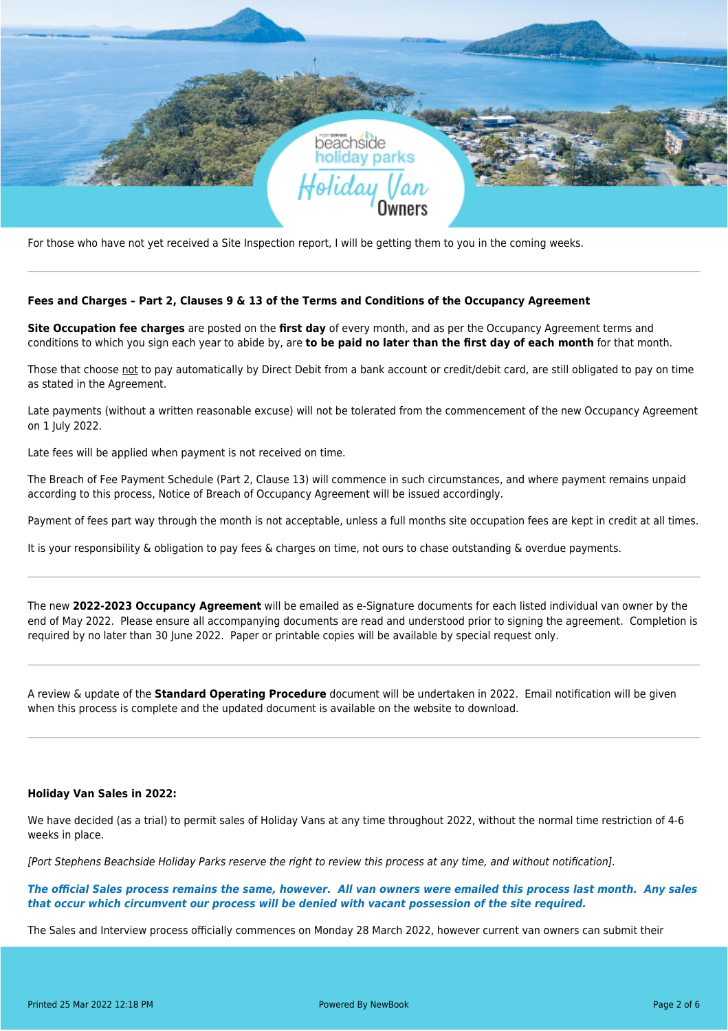

For those who have not yet received a Site Inspection report, I will be getting them to you in the coming weeks.

### **Fees and Charges – Part 2, Clauses 9 & 13 of the Terms and Conditions of the Occupancy Agreement**

**Site Occupation fee charges** are posted on the **first day** of every month, and as per the Occupancy Agreement terms and conditions to which you sign each year to abide by, are **to be paid no later than the first day of each month** for that month.

Those that choose not to pay automatically by Direct Debit from a bank account or credit/debit card, are still obligated to pay on time as stated in the Agreement.

Late payments (without a written reasonable excuse) will not be tolerated from the commencement of the new Occupancy Agreement on 1 July 2022.

Late fees will be applied when payment is not received on time.

The Breach of Fee Payment Schedule (Part 2, Clause 13) will commence in such circumstances, and where payment remains unpaid according to this process, Notice of Breach of Occupancy Agreement will be issued accordingly.

Payment of fees part way through the month is not acceptable, unless a full months site occupation fees are kept in credit at all times.

It is your responsibility & obligation to pay fees & charges on time, not ours to chase outstanding & overdue payments.

The new **2022-2023 Occupancy Agreement** will be emailed as e-Signature documents for each listed individual van owner by the end of May 2022. Please ensure all accompanying documents are read and understood prior to signing the agreement. Completion is required by no later than 30 June 2022. Paper or printable copies will be available by special request only.

A review & update of the **Standard Operating Procedure** document will be undertaken in 2022. Email notification will be given when this process is complete and the updated document is available on the website to download.

### **Holiday Van Sales in 2022:**

We have decided (as a trial) to permit sales of Holiday Vans at any time throughout 2022, without the normal time restriction of 4-6 weeks in place.

[Port Stephens Beachside Holiday Parks reserve the right to review this process at any time, and without notification].

*The official Sales process remains the same, however. All van owners were emailed this process last month. Any sales that occur which circumvent our process will be denied with vacant possession of the site required.* 

The Sales and Interview process officially commences on Monday 28 March 2022, however current van owners can submit their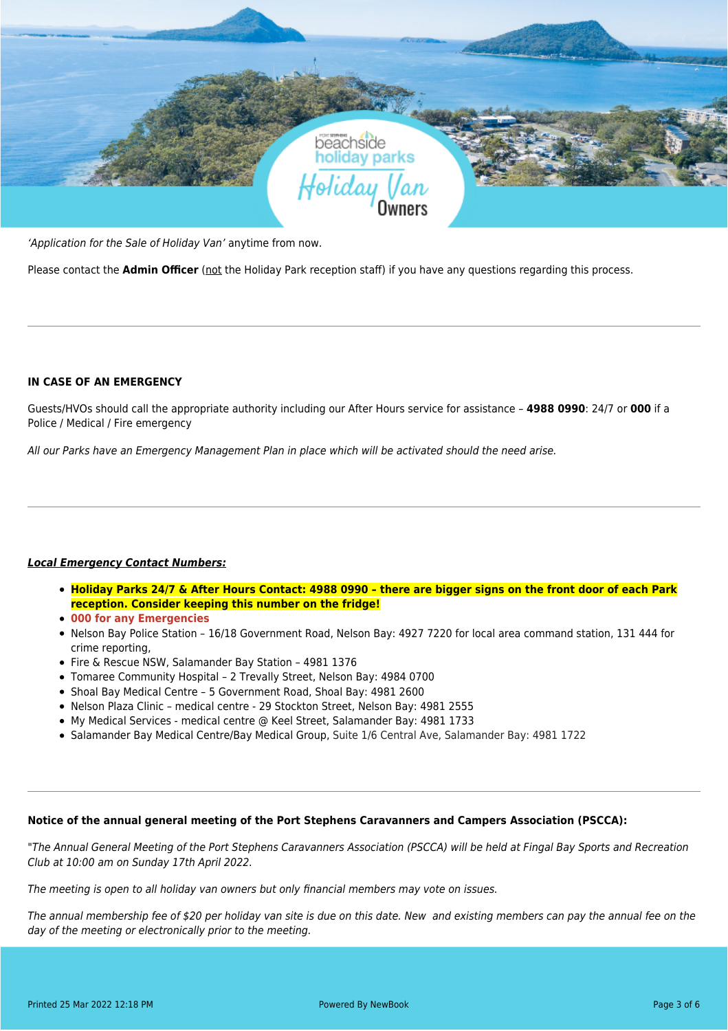

'Application for the Sale of Holiday Van' anytime from now.

Please contact the **Admin Officer** (not the Holiday Park reception staff) if you have any questions regarding this process.

# **IN CASE OF AN EMERGENCY**

Guests/HVOs should call the appropriate authority including our After Hours service for assistance – **4988 0990**: 24/7 or **000** if a Police / Medical / Fire emergency

All our Parks have an Emergency Management Plan in place which will be activated should the need arise.

## *Local Emergency Contact Numbers:*

- **Holiday Parks 24/7 & After Hours Contact: 4988 0990 there are bigger signs on the front door of each Park reception. Consider keeping this number on the fridge!**
- **000 for any Emergencies**
- Nelson Bay Police Station 16/18 Government Road, Nelson Bay: 4927 7220 for local area command station, 131 444 for crime reporting,
- Fire & Rescue NSW, Salamander Bay Station 4981 1376
- Tomaree Community Hospital 2 Trevally Street, Nelson Bay: 4984 0700
- Shoal Bay Medical Centre 5 Government Road, Shoal Bay: 4981 2600
- Nelson Plaza Clinic medical centre 29 Stockton Street, Nelson Bay: 4981 2555
- My Medical Services medical centre @ Keel Street, Salamander Bay: 4981 1733
- Salamander Bay Medical Centre/Bay Medical Group, Suite 1/6 Central Ave, Salamander Bay: 4981 1722

### **Notice of the annual general meeting of the Port Stephens Caravanners and Campers Association (PSCCA):**

"The Annual General Meeting of the Port Stephens Caravanners Association (PSCCA) will be held at Fingal Bay Sports and Recreation Club at 10:00 am on Sunday 17th April 2022.

The meeting is open to all holiday van owners but only financial members may vote on issues.

The annual membership fee of \$20 per holiday van site is due on this date. New and existing members can pay the annual fee on the day of the meeting or electronically prior to the meeting.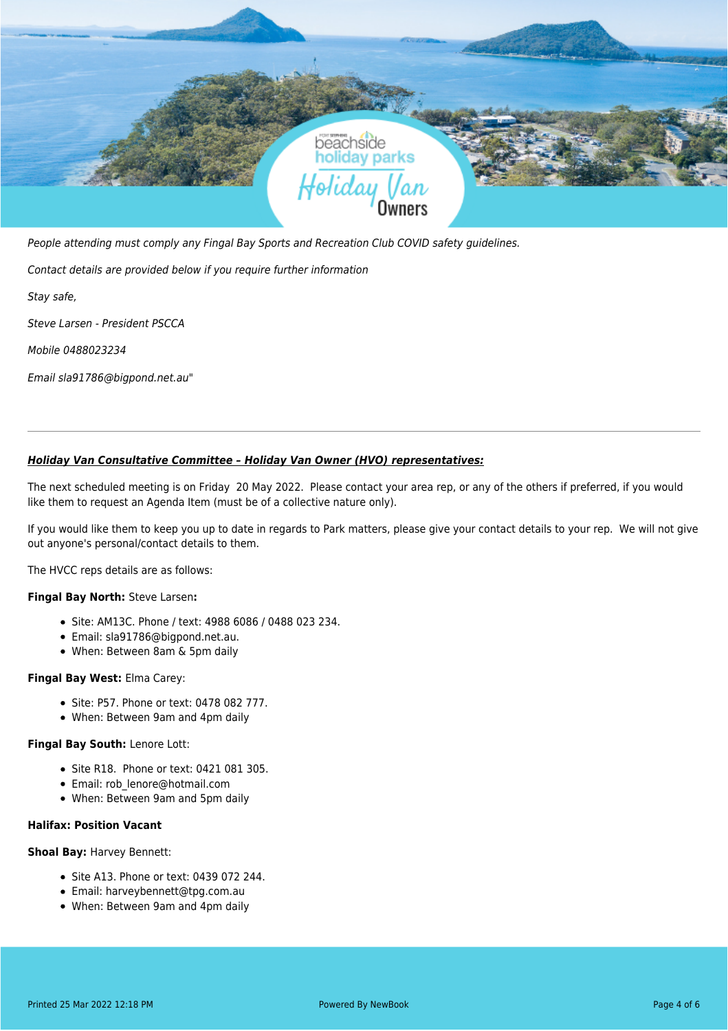

People attending must comply any Fingal Bay Sports and Recreation Club COVID safety guidelines.

Contact details are provided below if you require further information

Stay safe,

Steve Larsen - President PSCCA

Mobile 0488023234

Email sla91786@bigpond.net.au"

### *Holiday Van Consultative Committee – Holiday Van Owner (HVO) representatives:*

The next scheduled meeting is on Friday 20 May 2022. Please contact your area rep, or any of the others if preferred, if you would like them to request an Agenda Item (must be of a collective nature only).

If you would like them to keep you up to date in regards to Park matters, please give your contact details to your rep. We will not give out anyone's personal/contact details to them.

The HVCC reps details are as follows:

#### **Fingal Bay North:** Steve Larsen**:**

- Site: AM13C. Phone / text: 4988 6086 / 0488 023 234.
- Email: sla91786@bigpond.net.au.
- When: Between 8am & 5pm daily

#### **Fingal Bay West:** Elma Carey:

- Site: P57. Phone or text: 0478 082 777.
- When: Between 9am and 4pm daily

#### **Fingal Bay South:** Lenore Lott:

- Site R18. Phone or text: 0421 081 305.
- Email: rob\_lenore@hotmail.com
- When: Between 9am and 5pm daily

## **Halifax: Position Vacant**

#### **Shoal Bay:** Harvey Bennett:

- Site A13. Phone or text: 0439 072 244.
- Email: harveybennett@tpg.com.au
- When: Between 9am and 4pm daily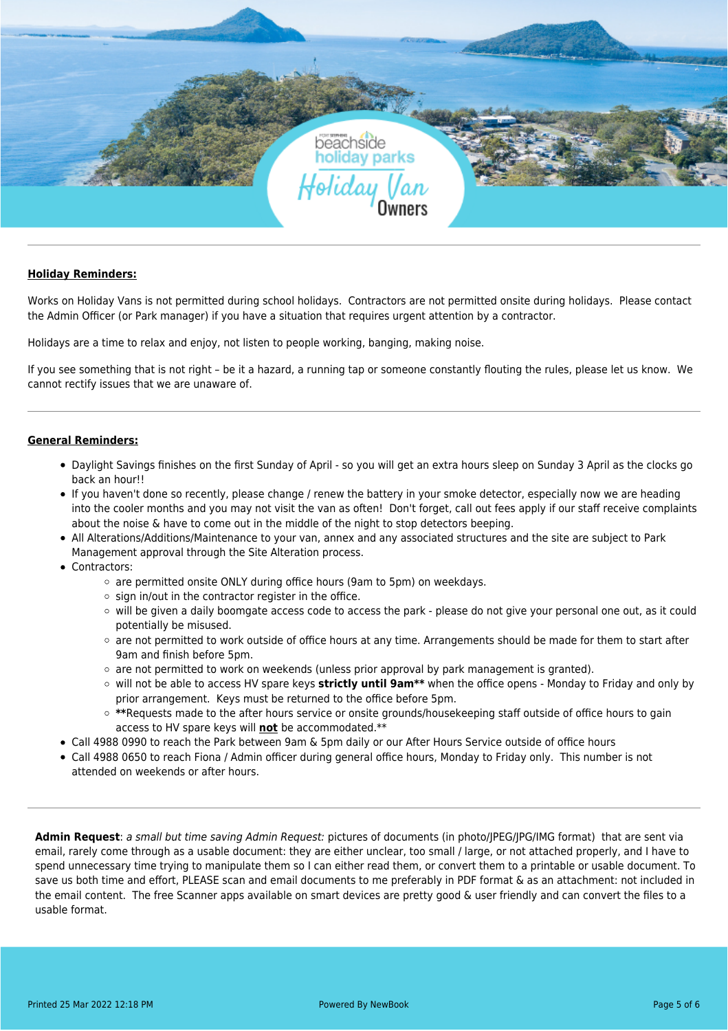

### **Holiday Reminders:**

Works on Holiday Vans is not permitted during school holidays. Contractors are not permitted onsite during holidays. Please contact the Admin Officer (or Park manager) if you have a situation that requires urgent attention by a contractor.

Holidays are a time to relax and enjoy, not listen to people working, banging, making noise.

If you see something that is not right – be it a hazard, a running tap or someone constantly flouting the rules, please let us know. We cannot rectify issues that we are unaware of.

## **General Reminders:**

- Daylight Savings finishes on the first Sunday of April so you will get an extra hours sleep on Sunday 3 April as the clocks go back an hour!!
- If you haven't done so recently, please change / renew the battery in your smoke detector, especially now we are heading into the cooler months and you may not visit the van as often! Don't forget, call out fees apply if our staff receive complaints about the noise & have to come out in the middle of the night to stop detectors beeping.
- All Alterations/Additions/Maintenance to your van, annex and any associated structures and the site are subject to Park Management approval through the Site Alteration process.
- Contractors:
	- o are permitted onsite ONLY during office hours (9am to 5pm) on weekdays.
	- $\circ$  sign in/out in the contractor register in the office.
	- will be given a daily boomgate access code to access the park please do not give your personal one out, as it could potentially be misused.
	- $\circ$  are not permitted to work outside of office hours at any time. Arrangements should be made for them to start after 9am and finish before 5pm.
	- $\circ$  are not permitted to work on weekends (unless prior approval by park management is granted).
	- will not be able to access HV spare keys **strictly until 9am\*\*** when the office opens Monday to Friday and only by prior arrangement. Keys must be returned to the office before 5pm.
	- **\*\***Requests made to the after hours service or onsite grounds/housekeeping staff outside of office hours to gain access to HV spare keys will **not** be accommodated.\*\*
- Call 4988 0990 to reach the Park between 9am & 5pm daily or our After Hours Service outside of office hours
- Call 4988 0650 to reach Fiona / Admin officer during general office hours, Monday to Friday only. This number is not attended on weekends or after hours.

**Admin Request**: a small but time saving Admin Request: pictures of documents (in photo/JPEG/JPG/IMG format) that are sent via email, rarely come through as a usable document: they are either unclear, too small / large, or not attached properly, and I have to spend unnecessary time trying to manipulate them so I can either read them, or convert them to a printable or usable document. To save us both time and effort, PLEASE scan and email documents to me preferably in PDF format & as an attachment: not included in the email content. The free Scanner apps available on smart devices are pretty good & user friendly and can convert the files to a usable format.